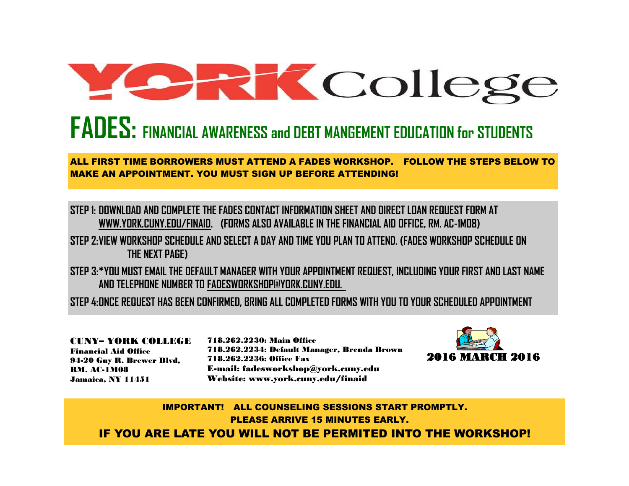# **College**

## **FADES: FINANCIAL AWARENESS and DEBT MANGEMENT EDUCATION for STUDENTS**

### ALL FIRST TIME BORROWERS MUST ATTEND A FADES WORKSHOP. FOLLOW THE STEPS BELOW TO MAKE AN APPOINTMENT. YOU MUST SIGN UP BEFORE ATTENDING!

**STEP 1: DOWNLOAD AND COMPLETE THE FADES CONTACT INFORMATION SHEET AND DIRECT LOAN REQUEST FORM AT WWW.YORK.CUNY.EDU/FINAID. (FORMS ALSO AVAILABLE IN THE FINANCIAL AID OFFICE, RM. AC-1M08)**

**STEP 2:VIEW WORKSHOP SCHEDULE AND SELECT A DAY AND TIME YOU PLAN TO ATTEND. (FADES WORKSHOP SCHEDULE ON THE NEXT PAGE)**

**STEP 3:\*YOU MUST EMAIL THE DEFAULT MANAGER WITH YOUR APPOINTMENT REQUEST, INCLUDING YOUR FIRST AND LAST NAME AND TELEPHONE NUMBER TO FADESWORKSHOP@YORK.CUNY.EDU.** 

**STEP 4:ONCE REQUEST HAS BEEN CONFIRMED, BRING ALL COMPLETED FORMS WITH YOU TO YOUR SCHEDULED APPOINTMENT**

CUNY– YORK COLLEGE Financial Aid Office 94-20 Guy R. Brewer Blvd, RM. AC-1M08 Jamaica, NY 11451

718.262.2230: Main Office 718.262.2234: Default Manager, Brenda Brown 718.262.2236: Office Fax E-mail: fadesworkshop@york.cuny.edu Website: www.york.cuny.edu/finaid



IMPORTANT! ALL COUNSELING SESSIONS START PROMPTLY. PLEASE ARRIVE 15 MINUTES EARLY. IF YOU ARE LATE YOU WILL NOT BE PERMITED INTO THE WORKSHOP!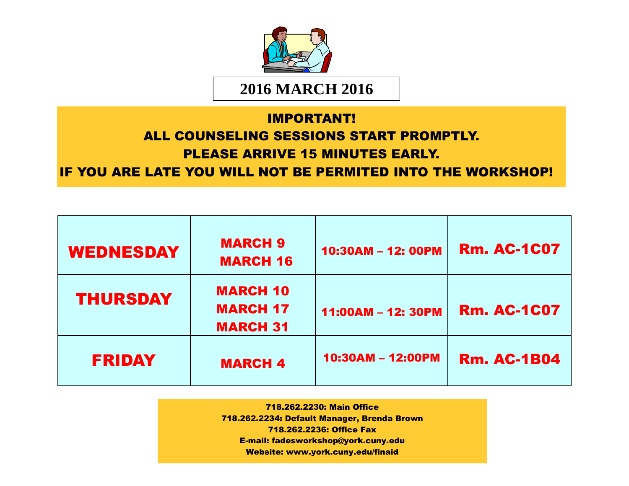

## IMPORTANT! ALL COUNSELING SESSIONS START PROMPTLY. PLEASE ARRIVE 15 MINUTES EARLY. IF YOU ARE LATE YOU WILL NOT BE PERMITED INTO THE WORKSHOP!

| <b>WEDNESDAY</b> | <b>MARCH 9</b><br><b>MARCH 16</b>                     | 10:30AM - 12: 00PM | <b>Rm. AC-1C07</b> |
|------------------|-------------------------------------------------------|--------------------|--------------------|
| <b>THURSDAY</b>  | <b>MARCH 10</b><br><b>MARCH 17</b><br><b>MARCH 31</b> | 11:00AM - 12: 30PM | <b>Rm. AC-1C07</b> |
| <b>FRIDAY</b>    | <b>MARCH 4</b>                                        | 10:30AM - 12:00PM  | <b>Rm. AC-1B04</b> |

718.262.2230: Main Office 718.262.2234: Default Manager, Brenda Brown 718.262.2236: Office Fax E-mail: fadesworkshop@york.cuny.edu Website: www.york.cuny.edu/finaid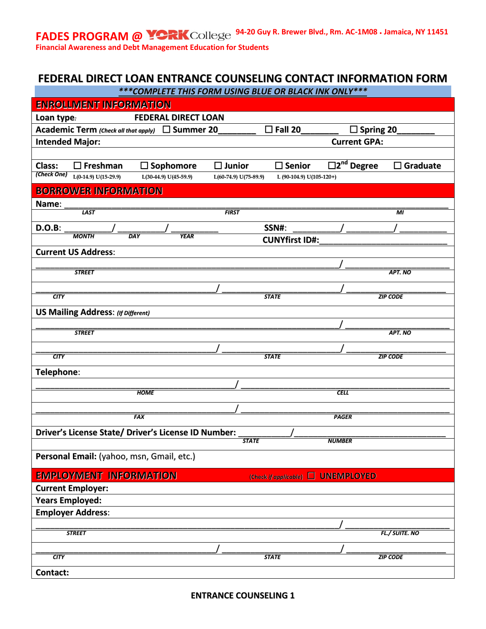FADES PROGRAM @ **14-20 Guy R. Brewer Blvd., Rm. AC-1M08 · Jamaica, NY 11451** 

**Financial Awareness and Debt Management Education for Students**

#### **FEDERAL DIRECT LOAN ENTRANCE COUNSELING CONTACT INFORMATION FORM** *\*\*\*COMPLETE THIS FORM USING BLUE OR BLACK INK ONLY\*\*\**

| <b>ENROLLMENT INFORMATION</b>                                 | <u>COMMELIE THIS FORM OSING BEGE ON BEACH INN ONE I</u> |                                             |
|---------------------------------------------------------------|---------------------------------------------------------|---------------------------------------------|
| <b>FEDERAL DIRECT LOAN</b><br>Loan type:                      |                                                         |                                             |
| Academic Term (Check all that apply) □ Summer 20              | $\square$ Fall 20                                       | $\square$ Spring 20                         |
| <b>Intended Major:</b>                                        |                                                         | <b>Current GPA:</b>                         |
|                                                               |                                                         |                                             |
| Class:<br>$\Box$ Freshman<br>$\Box$ Sophomore                 | $\square$ Junior<br>$\square$ Senior                    | $\overline{\Box 2}^{nd}$ Degree<br>Graduate |
| (Check One) $L(0-14.9) U(15-29.9)$<br>$L(30-44.9) U(45-59.9)$ | $L(60-74.9) U(75-89.9)$                                 | L (90-104.9) U(105-120+)                    |
| <b>BORROWER INFORMATION</b>                                   |                                                         |                                             |
| Name:                                                         |                                                         |                                             |
| <b>LAST</b>                                                   | <b>FIRST</b>                                            | МI                                          |
| <b>D.O.B:</b>                                                 | SSN#:                                                   |                                             |
| <b>MONTH</b><br><b>YEAR</b><br>DAY                            | <b>CUNYfirst ID#:</b>                                   |                                             |
| <b>Current US Address:</b>                                    |                                                         |                                             |
|                                                               |                                                         |                                             |
| <b>STREET</b>                                                 |                                                         | APT. NO                                     |
|                                                               |                                                         |                                             |
| CTY                                                           | <b>STATE</b>                                            | <b>ZIP CODE</b>                             |
| <b>US Mailing Address: (If Different)</b>                     |                                                         |                                             |
|                                                               |                                                         |                                             |
| <b>STREET</b>                                                 |                                                         | APT. NO                                     |
| CITY                                                          | <b>STATE</b>                                            | <b>ZIP CODE</b>                             |
|                                                               |                                                         |                                             |
| Telephone:                                                    |                                                         |                                             |
| <b>HOME</b>                                                   |                                                         | <b>CELL</b>                                 |
|                                                               |                                                         |                                             |
| FAX                                                           |                                                         | <b>PAGER</b>                                |
|                                                               |                                                         |                                             |
| Driver's License State/ Driver's License ID Number:           | <b>STATE</b>                                            | <b>NUMBER</b>                               |
|                                                               |                                                         |                                             |
| Personal Email: (yahoo, msn, Gmail, etc.)                     |                                                         |                                             |
| <b>EMPLOYMENT INFORMATION</b>                                 |                                                         | (Check if applicable) C UNEMPLOYED          |
| <b>Current Employer:</b>                                      |                                                         |                                             |
| <b>Years Employed:</b>                                        |                                                         |                                             |
| <b>Employer Address:</b>                                      |                                                         |                                             |
|                                                               |                                                         |                                             |
| <b>STREET</b>                                                 |                                                         | <b>FL./SUITE. NO</b>                        |
|                                                               |                                                         |                                             |
| <b>CITY</b>                                                   | <b>STATE</b>                                            | <b>ZIP CODE</b>                             |
| Contact:                                                      |                                                         |                                             |

**ENTRANCE COUNSELING 1**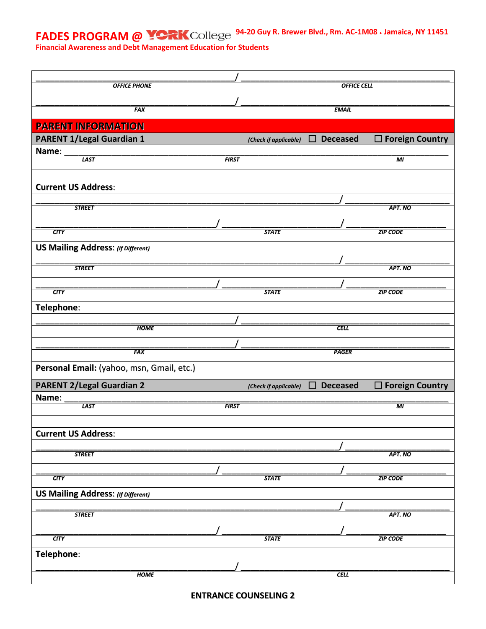**FADES PROGRAM @ <b>PORK** College <sup>94-20</sup> Guy R. Brewer Blvd., Rm. AC-1M08 · Jamaica, NY 11451

**Financial Awareness and Debt Management Education for Students**

| <b>OFFICE PHONE</b>                       |              |                       | <b>OFFICE CELL</b>        |                        |
|-------------------------------------------|--------------|-----------------------|---------------------------|------------------------|
|                                           |              |                       |                           |                        |
| <b>FAX</b>                                |              |                       | <b>EMAIL</b>              |                        |
| <b>PARENT INFORMATION</b>                 |              |                       |                           |                        |
| <b>PARENT 1/Legal Guardian 1</b>          |              |                       | <b>Deceased</b><br>$\Box$ | $\Box$ Foreign Country |
|                                           |              | (Check if applicable) |                           |                        |
| Name:<br><b>LAST</b>                      | <b>FIRST</b> |                       |                           | $\overline{M}$         |
|                                           |              |                       |                           |                        |
|                                           |              |                       |                           |                        |
| <b>Current US Address:</b>                |              |                       |                           |                        |
| <b>STREET</b>                             |              |                       |                           | APT. NO                |
|                                           |              |                       |                           |                        |
| CTY                                       |              | <b>STATE</b>          |                           | <b>ZIP CODE</b>        |
|                                           |              |                       |                           |                        |
| <b>US Mailing Address: (If Different)</b> |              |                       |                           |                        |
| <b>STREET</b>                             |              |                       |                           | APT. NO                |
|                                           |              |                       |                           |                        |
|                                           |              |                       |                           |                        |
| CTY                                       |              | <b>STATE</b>          |                           | <b>ZIP CODE</b>        |
| Telephone:                                |              |                       |                           |                        |
|                                           |              |                       |                           |                        |
| <b>HOME</b>                               |              |                       | <b>CELL</b>               |                        |
|                                           |              |                       |                           |                        |
| <b>FAX</b>                                |              |                       | <b>PAGER</b>              |                        |
| Personal Email: (yahoo, msn, Gmail, etc.) |              |                       |                           |                        |
| <b>PARENT 2/Legal Guardian 2</b>          |              | (Check if applicable) | □<br><b>Deceased</b>      | $\Box$ Foreign Country |
| Name:                                     |              |                       |                           |                        |
| <b>LAST</b>                               | <b>FIRST</b> |                       |                           | MI                     |
|                                           |              |                       |                           |                        |
| <b>Current US Address:</b>                |              |                       |                           |                        |
|                                           |              |                       |                           |                        |
| <b>STREET</b>                             |              |                       |                           | APT. NO                |
|                                           |              |                       |                           |                        |
| CTY                                       |              | <b>STATE</b>          |                           | <b>ZIP CODE</b>        |
| <b>US Mailing Address: (If Different)</b> |              |                       |                           |                        |
|                                           |              |                       |                           |                        |
| <b>STREET</b>                             |              |                       |                           | APT. NO                |
|                                           |              |                       |                           |                        |
| CTY                                       |              | <b>STATE</b>          |                           | <b>ZIP CODE</b>        |
|                                           |              |                       |                           |                        |
|                                           |              |                       |                           |                        |
| Telephone:                                |              |                       |                           |                        |
| <b>HOME</b>                               |              |                       | $\overline{CELL}$         |                        |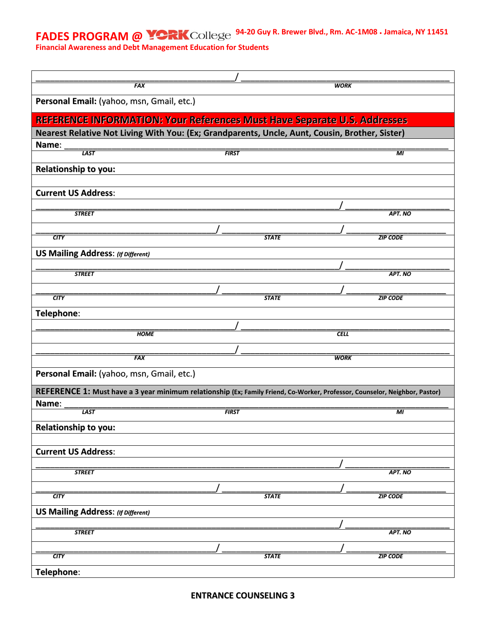**FADES PROGRAM @ <b>PORK** College <sup>94-20</sup> Guy R. Brewer Blvd., Rm. AC-1M08 · Jamaica, NY 11451

**Financial Awareness and Debt Management Education for Students**

| <b>FAX</b>                                                                                                                  |              |              | <b>WORK</b> |                 |
|-----------------------------------------------------------------------------------------------------------------------------|--------------|--------------|-------------|-----------------|
| Personal Email: (yahoo, msn, Gmail, etc.)                                                                                   |              |              |             |                 |
| REFERENCE INFORMATION: Your References Must Have Separate U.S. Addresses                                                    |              |              |             |                 |
| Nearest Relative Not Living With You: (Ex; Grandparents, Uncle, Aunt, Cousin, Brother, Sister)                              |              |              |             |                 |
| Name:                                                                                                                       |              |              |             |                 |
| <b>LAST</b>                                                                                                                 | <b>FIRST</b> |              |             | MI              |
| <b>Relationship to you:</b>                                                                                                 |              |              |             |                 |
|                                                                                                                             |              |              |             |                 |
| <b>Current US Address:</b>                                                                                                  |              |              |             |                 |
|                                                                                                                             |              |              |             |                 |
| <b>STREET</b>                                                                                                               |              |              |             | APT. NO         |
|                                                                                                                             |              |              |             |                 |
| CTY                                                                                                                         |              | <b>STATE</b> |             | <b>ZIP CODE</b> |
| <b>US Mailing Address: (If Different)</b>                                                                                   |              |              |             |                 |
|                                                                                                                             |              |              |             |                 |
| <b>STREET</b>                                                                                                               |              |              |             | APT. NO         |
|                                                                                                                             |              |              |             |                 |
| <b>CITY</b>                                                                                                                 |              | <b>STATE</b> |             | <b>ZIP CODE</b> |
| Telephone:                                                                                                                  |              |              |             |                 |
| <b>HOME</b>                                                                                                                 |              |              | <b>CELL</b> |                 |
|                                                                                                                             |              |              |             |                 |
| <b>FAX</b>                                                                                                                  |              |              | <b>WORK</b> |                 |
|                                                                                                                             |              |              |             |                 |
| Personal Email: (yahoo, msn, Gmail, etc.)                                                                                   |              |              |             |                 |
| REFERENCE 1: Must have a 3 year minimum relationship (Ex; Family Friend, Co-Worker, Professor, Counselor, Neighbor, Pastor) |              |              |             |                 |
| Name:                                                                                                                       |              |              |             |                 |
| <b>LAST</b>                                                                                                                 | <b>FIRST</b> |              |             | МI              |
| Relationship to you:                                                                                                        |              |              |             |                 |
|                                                                                                                             |              |              |             |                 |
| <b>Current US Address:</b>                                                                                                  |              |              |             |                 |
| <b>STREET</b>                                                                                                               |              |              |             | APT. NO         |
|                                                                                                                             |              |              |             |                 |
| <b>CITY</b>                                                                                                                 |              | <b>STATE</b> |             | <b>ZIP CODE</b> |
| <b>US Mailing Address: (If Different)</b>                                                                                   |              |              |             |                 |
|                                                                                                                             |              |              |             |                 |
| <b>STREET</b>                                                                                                               |              |              |             | APT. NO         |
|                                                                                                                             |              |              |             |                 |
| CTY                                                                                                                         |              | <b>STATE</b> |             | <b>ZIP CODE</b> |
| Telephone:                                                                                                                  |              |              |             |                 |
|                                                                                                                             |              |              |             |                 |

**ENTRANCE COUNSELING 3**